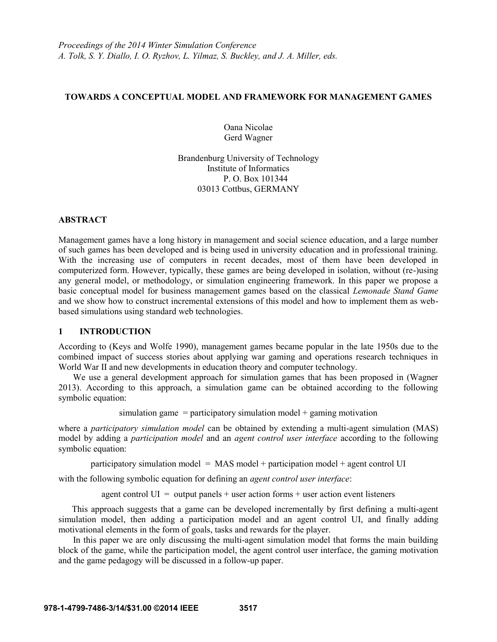### **TOWARDS A CONCEPTUAL MODEL AND FRAMEWORK FOR MANAGEMENT GAMES**

Oana Nicolae Gerd Wagner

Brandenburg University of Technology Institute of Informatics P. O. Box 101344 03013 Cottbus, GERMANY

### **ABSTRACT**

Management games have a long history in management and social science education, and a large number of such games has been developed and is being used in university education and in professional training. With the increasing use of computers in recent decades, most of them have been developed in computerized form. However, typically, these games are being developed in isolation, without (re-)using any general model, or methodology, or simulation engineering framework. In this paper we propose a basic conceptual model for business management games based on the classical *Lemonade Stand Game* and we show how to construct incremental extensions of this model and how to implement them as webbased simulations using standard web technologies.

## **1 INTRODUCTION**

According to (Keys and Wolfe 1990), management games became popular in the late 1950s due to the combined impact of success stories about applying war gaming and operations research techniques in World War II and new developments in education theory and computer technology.

We use a general development approach for simulation games that has been proposed in (Wagner 2013). According to this approach, a simulation game can be obtained according to the following symbolic equation:

simulation game  $=$  participatory simulation model  $+$  gaming motivation

where a *participatory simulation model* can be obtained by extending a multi-agent simulation (MAS) model by adding a *participation model* and an *agent control user interface* according to the following symbolic equation:

participatory simulation model = MAS model + participation model + agent control UI

with the following symbolic equation for defining an *agent control user interface*:

agent control  $UI =$  output panels  $+$  user action forms  $+$  user action event listeners

This approach suggests that a game can be developed incrementally by first defining a multi-agent simulation model, then adding a participation model and an agent control UI, and finally adding motivational elements in the form of goals, tasks and rewards for the player.

In this paper we are only discussing the multi-agent simulation model that forms the main building block of the game, while the participation model, the agent control user interface, the gaming motivation and the game pedagogy will be discussed in a follow-up paper.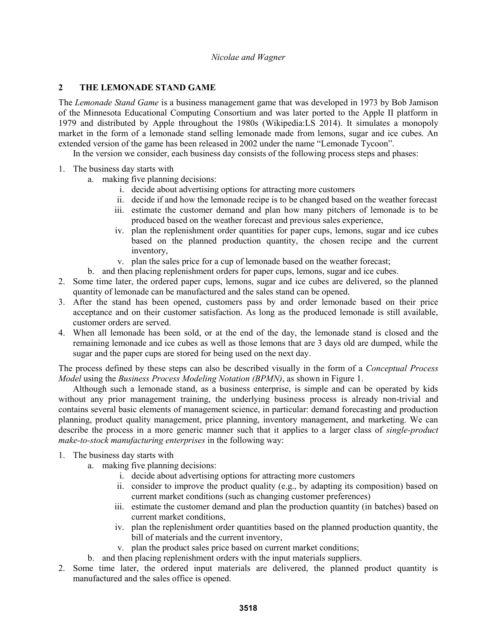## **2 THE LEMONADE STAND GAME**

The *Lemonade Stand Game* is a business management game that was developed in 1973 by Bob Jamison of the Minnesota Educational Computing Consortium and was later ported to the Apple II platform in 1979 and distributed by Apple throughout the 1980s (Wikipedia:LS 2014). It simulates a monopoly market in the form of a lemonade stand selling lemonade made from lemons, sugar and ice cubes. An extended version of the game has been released in 2002 under the name "Lemonade Tycoon".

In the version we consider, each business day consists of the following process steps and phases:

- 1. The business day starts with
	- a. making five planning decisions:
		- i. decide about advertising options for attracting more customers
		- ii. decide if and how the lemonade recipe is to be changed based on the weather forecast
		- iii. estimate the customer demand and plan how many pitchers of lemonade is to be produced based on the weather forecast and previous sales experience,
		- iv. plan the replenishment order quantities for paper cups, lemons, sugar and ice cubes based on the planned production quantity, the chosen recipe and the current inventory,
		- v. plan the sales price for a cup of lemonade based on the weather forecast;
	- b. and then placing replenishment orders for paper cups, lemons, sugar and ice cubes.
- 2. Some time later, the ordered paper cups, lemons, sugar and ice cubes are delivered, so the planned quantity of lemonade can be manufactured and the sales stand can be opened.
- 3. After the stand has been opened, customers pass by and order lemonade based on their price acceptance and on their customer satisfaction. As long as the produced lemonade is still available, customer orders are served.
- 4. When all lemonade has been sold, or at the end of the day, the lemonade stand is closed and the remaining lemonade and ice cubes as well as those lemons that are 3 days old are dumped, while the sugar and the paper cups are stored for being used on the next day.

The process defined by these steps can also be described visually in the form of a *Conceptual Process Model* using the *Business Process Modeling Notation (BPMN)*, as shown in Figure 1.

Although such a lemonade stand, as a business enterprise, is simple and can be operated by kids without any prior management training, the underlying business process is already non-trivial and contains several basic elements of management science, in particular: demand forecasting and production planning, product quality management, price planning, inventory management, and marketing. We can describe the process in a more generic manner such that it applies to a larger class of *single-product make-to-stock manufacturing enterprises* in the following way:

- 1. The business day starts with
	- a. making five planning decisions:
		- i. decide about advertising options for attracting more customers
		- ii. consider to improve the product quality (e.g., by adapting its composition) based on current market conditions (such as changing customer preferences)
		- iii. estimate the customer demand and plan the production quantity (in batches) based on current market conditions,
		- iv. plan the replenishment order quantities based on the planned production quantity, the bill of materials and the current inventory,
		- v. plan the product sales price based on current market conditions;
	- b. and then placing replenishment orders with the input materials suppliers.
- 2. Some time later, the ordered input materials are delivered, the planned product quantity is manufactured and the sales office is opened.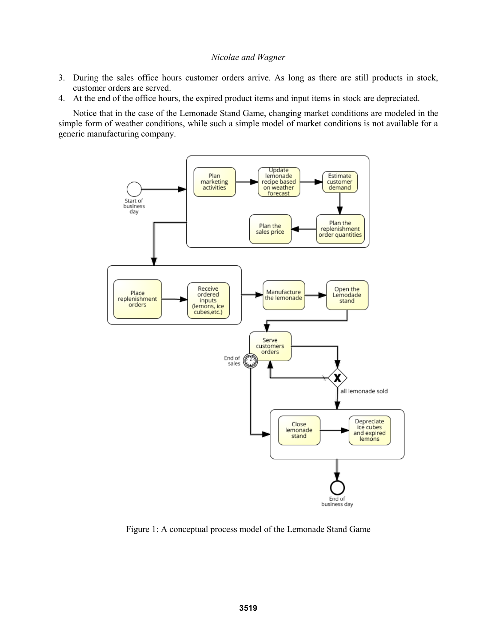- 3. During the sales office hours customer orders arrive. As long as there are still products in stock, customer orders are served.
- 4. At the end of the office hours, the expired product items and input items in stock are depreciated.

Notice that in the case of the Lemonade Stand Game, changing market conditions are modeled in the simple form of weather conditions, while such a simple model of market conditions is not available for a generic manufacturing company.



Figure 1: A conceptual process model of the Lemonade Stand Game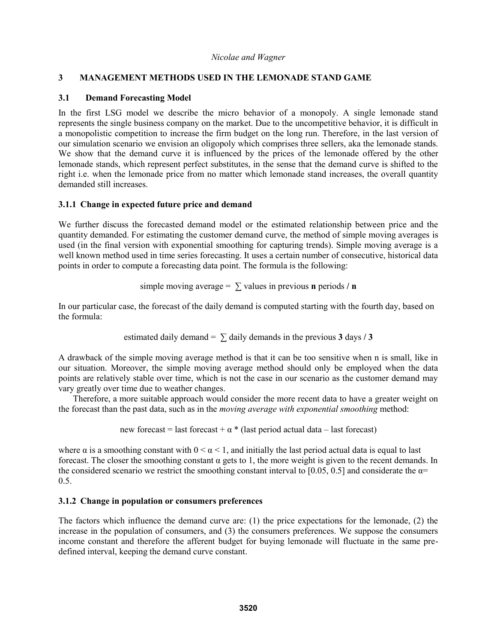# **3 MANAGEMENT METHODS USED IN THE LEMONADE STAND GAME**

## **3.1 Demand Forecasting Model**

In the first LSG model we describe the micro behavior of a monopoly. A single lemonade stand represents the single business company on the market. Due to the uncompetitive behavior, it is difficult in a monopolistic competition to increase the firm budget on the long run. Therefore, in the last version of our simulation scenario we envision an oligopoly which comprises three sellers, aka the lemonade stands. We show that the demand curve it is influenced by the prices of the lemonade offered by the other lemonade stands, which represent perfect substitutes, in the sense that the demand curve is shifted to the right i.e. when the lemonade price from no matter which lemonade stand increases, the overall quantity demanded still increases.

## **3.1.1 Change in expected future price and demand**

We further discuss the forecasted demand model or the estimated relationship between price and the quantity demanded. For estimating the customer demand curve, the method of simple moving averages is used (in the final version with exponential smoothing for capturing trends). Simple moving average is a well known method used in time series forecasting. It uses a certain number of consecutive, historical data points in order to compute a forecasting data point. The formula is the following:

simple moving average =  $\sum$  values in previous **n** periods  $\ell$  **n** 

In our particular case, the forecast of the daily demand is computed starting with the fourth day, based on the formula:

estimated daily demand =  $\sum$  daily demands in the previous **3** days **/3** 

A drawback of the simple moving average method is that it can be too sensitive when n is small, like in our situation. Moreover, the simple moving average method should only be employed when the data points are relatively stable over time, which is not the case in our scenario as the customer demand may vary greatly over time due to weather changes.

Therefore, a more suitable approach would consider the more recent data to have a greater weight on the forecast than the past data, such as in the *moving average with exponential smoothing* method:

new forecast = last forecast +  $\alpha$  \* (last period actual data – last forecast)

where  $\alpha$  is a smoothing constant with  $0 \leq \alpha \leq 1$ , and initially the last period actual data is equal to last forecast. The closer the smoothing constant  $\alpha$  gets to 1, the more weight is given to the recent demands. In the considered scenario we restrict the smoothing constant interval to [0.05, 0.5] and considerate the  $\alpha$ = 0.5.

## **3.1.2 Change in population or consumers preferences**

The factors which influence the demand curve are: (1) the price expectations for the lemonade, (2) the increase in the population of consumers, and (3) the consumers preferences. We suppose the consumers income constant and therefore the afferent budget for buying lemonade will fluctuate in the same predefined interval, keeping the demand curve constant.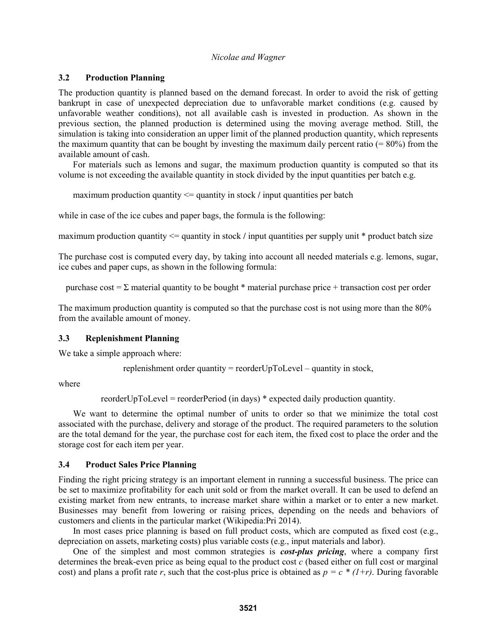## **3.2 Production Planning**

The production quantity is planned based on the demand forecast. In order to avoid the risk of getting bankrupt in case of unexpected depreciation due to unfavorable market conditions (e.g. caused by unfavorable weather conditions), not all available cash is invested in production. As shown in the previous section, the planned production is determined using the moving average method. Still, the simulation is taking into consideration an upper limit of the planned production quantity, which represents the maximum quantity that can be bought by investing the maximum daily percent ratio  $(= 80\%)$  from the available amount of cash.

For materials such as lemons and sugar, the maximum production quantity is computed so that its volume is not exceeding the available quantity in stock divided by the input quantities per batch e.g.

maximum production quantity <= quantity in stock **/** input quantities per batch

while in case of the ice cubes and paper bags, the formula is the following:

maximum production quantity <= quantity in stock **/** input quantities per supply unit \* product batch size

The purchase cost is computed every day, by taking into account all needed materials e.g. lemons, sugar, ice cubes and paper cups, as shown in the following formula:

purchase  $\text{cost} = \Sigma$  material quantity to be bought \* material purchase price + transaction cost per order

The maximum production quantity is computed so that the purchase cost is not using more than the 80% from the available amount of money.

## **3.3 Replenishment Planning**

We take a simple approach where:

replenishment order quantity = reorderUpToLevel – quantity in stock,

where

reorderUpToLevel = reorderPeriod (in days) \* expected daily production quantity.

We want to determine the optimal number of units to order so that we minimize the total cost associated with the purchase, delivery and storage of the product. The required parameters to the solution are the total demand for the year, the purchase cost for each item, the fixed cost to place the order and the storage cost for each item per year.

### **3.4 Product Sales Price Planning**

Finding the right pricing strategy is an important element in running a successful business. The price can be set to maximize profitability for each unit sold or from the market overall. It can be used to defend an existing market from new entrants, to increase market share within a market or to enter a new market. Businesses may benefit from lowering or raising prices, depending on the needs and behaviors of customers and clients in the particular market (Wikipedia:Pri 2014).

In most cases price planning is based on full product costs, which are computed as fixed cost (e.g., depreciation on assets, marketing costs) plus variable costs (e.g., input materials and labor).

One of the simplest and most common strategies is *cost-plus pricing*, where a company first determines the break-even price as being equal to the product cost *c* (based either on full cost or marginal cost) and plans a profit rate *r*, such that the cost-plus price is obtained as  $p = c * (1+r)$ . During favorable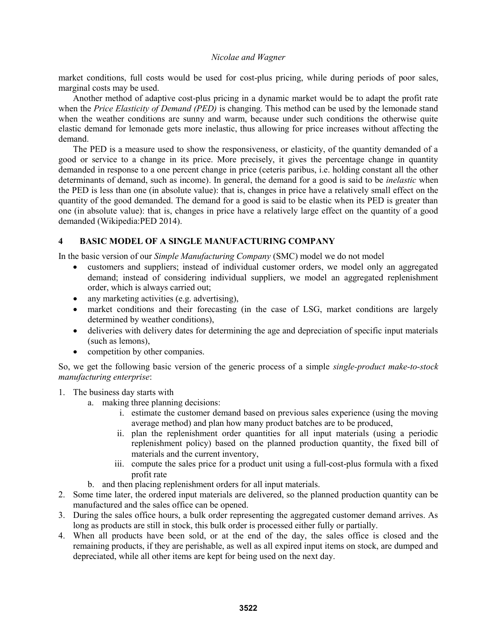market conditions, full costs would be used for cost-plus pricing, while during periods of poor sales, marginal costs may be used.

Another method of adaptive cost-plus pricing in a dynamic market would be to adapt the profit rate when the *Price Elasticity of Demand (PED)* is changing. This method can be used by the lemonade stand when the weather conditions are sunny and warm, because under such conditions the otherwise quite elastic demand for lemonade gets more inelastic, thus allowing for price increases without affecting the demand.

The PED is a measure used to show the responsiveness, or elasticity, of the quantity demanded of a good or service to a change in its price. More precisely, it gives the percentage change in quantity demanded in response to a one percent change in price (ceteris paribus, i.e. holding constant all the other determinants of demand, such as income). In general, the demand for a good is said to be *inelastic* when the PED is less than one (in absolute value): that is, changes in price have a relatively small effect on the quantity of the good demanded. The demand for a good is said to be elastic when its PED is greater than one (in absolute value): that is, changes in price have a relatively large effect on the quantity of a good demanded (Wikipedia:PED 2014).

# **4 BASIC MODEL OF A SINGLE MANUFACTURING COMPANY**

In the basic version of our *Simple Manufacturing Company* (SMC) model we do not model

- customers and suppliers; instead of individual customer orders, we model only an aggregated demand; instead of considering individual suppliers, we model an aggregated replenishment order, which is always carried out;
- any marketing activities (e.g. advertising),
- market conditions and their forecasting (in the case of LSG, market conditions are largely determined by weather conditions),
- deliveries with delivery dates for determining the age and depreciation of specific input materials (such as lemons),
- competition by other companies.

So, we get the following basic version of the generic process of a simple *single-product make-to-stock manufacturing enterprise*:

## 1. The business day starts with

- a. making three planning decisions:
	- i. estimate the customer demand based on previous sales experience (using the moving average method) and plan how many product batches are to be produced,
	- ii. plan the replenishment order quantities for all input materials (using a periodic replenishment policy) based on the planned production quantity, the fixed bill of materials and the current inventory,
	- iii. compute the sales price for a product unit using a full-cost-plus formula with a fixed profit rate
- b. and then placing replenishment orders for all input materials.
- 2. Some time later, the ordered input materials are delivered, so the planned production quantity can be manufactured and the sales office can be opened.
- 3. During the sales office hours, a bulk order representing the aggregated customer demand arrives. As long as products are still in stock, this bulk order is processed either fully or partially.
- 4. When all products have been sold, or at the end of the day, the sales office is closed and the remaining products, if they are perishable, as well as all expired input items on stock, are dumped and depreciated, while all other items are kept for being used on the next day.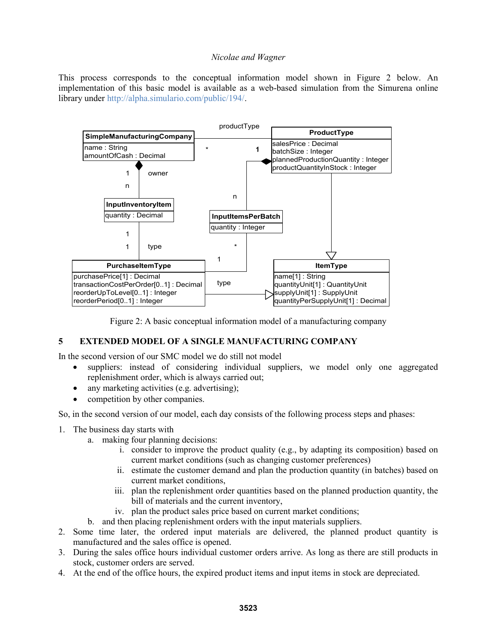This process corresponds to the conceptual information model shown in Figure 2 below. An implementation of this basic model is available as a web-based simulation from the Simurena online library under http://alpha.simulario.com/public/194/.



Figure 2: A basic conceptual information model of a manufacturing company

# **5 EXTENDED MODEL OF A SINGLE MANUFACTURING COMPANY**

In the second version of our SMC model we do still not model

- suppliers: instead of considering individual suppliers, we model only one aggregated replenishment order, which is always carried out;
- any marketing activities (e.g. advertising);
- competition by other companies.

So, in the second version of our model, each day consists of the following process steps and phases:

- 1. The business day starts with
	- a. making four planning decisions:
		- i. consider to improve the product quality (e.g., by adapting its composition) based on current market conditions (such as changing customer preferences)
		- ii. estimate the customer demand and plan the production quantity (in batches) based on current market conditions,
		- iii. plan the replenishment order quantities based on the planned production quantity, the bill of materials and the current inventory,
		- iv. plan the product sales price based on current market conditions;
	- b. and then placing replenishment orders with the input materials suppliers.
- 2. Some time later, the ordered input materials are delivered, the planned product quantity is manufactured and the sales office is opened.
- 3. During the sales office hours individual customer orders arrive. As long as there are still products in stock, customer orders are served.
- 4. At the end of the office hours, the expired product items and input items in stock are depreciated.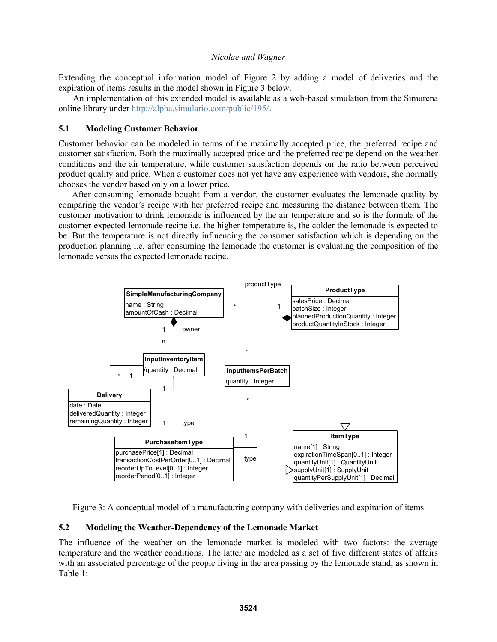Extending the conceptual information model of Figure 2 by adding a model of deliveries and the expiration of items results in the model shown in Figure 3 below.

An implementation of this extended model is available as a web-based simulation from the Simurena online library under http://alpha.simulario.com/public/195/.

### **5.1 Modeling Customer Behavior**

Customer behavior can be modeled in terms of the maximally accepted price, the preferred recipe and customer satisfaction. Both the maximally accepted price and the preferred recipe depend on the weather conditions and the air temperature, while customer satisfaction depends on the ratio between perceived product quality and price. When a customer does not yet have any experience with vendors, she normally chooses the vendor based only on a lower price.

After consuming lemonade bought from a vendor, the customer evaluates the lemonade quality by comparing the vendor's recipe with her preferred recipe and measuring the distance between them. The customer motivation to drink lemonade is influenced by the air temperature and so is the formula of the customer expected lemonade recipe i.e. the higher temperature is, the colder the lemonade is expected to be. But the temperature is not directly influencing the consumer satisfaction which is depending on the production planning i.e. after consuming the lemonade the customer is evaluating the composition of the lemonade versus the expected lemonade recipe.



Figure 3: A conceptual model of a manufacturing company with deliveries and expiration of items

## **5.2 Modeling the Weather-Dependency of the Lemonade Market**

The influence of the weather on the lemonade market is modeled with two factors: the average temperature and the weather conditions. The latter are modeled as a set of five different states of affairs with an associated percentage of the people living in the area passing by the lemonade stand, as shown in Table 1: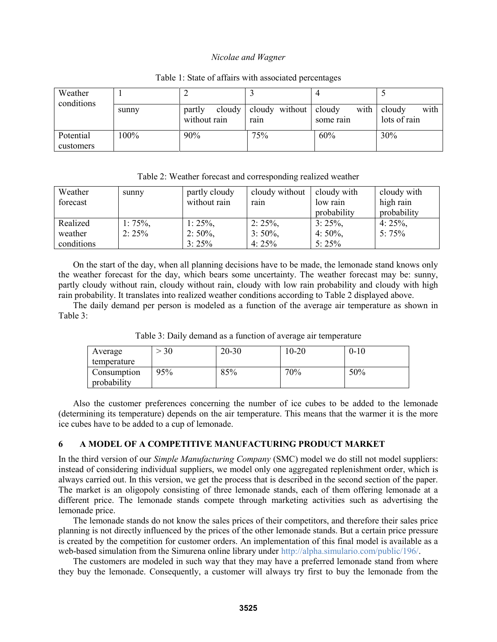| Weather<br>conditions  |       |                                  |                        |                             |                                |
|------------------------|-------|----------------------------------|------------------------|-----------------------------|--------------------------------|
|                        | sunny | cloudy<br>partly<br>without rain | cloudy without<br>rain | with<br>cloudy<br>some rain | with<br>cloudy<br>lots of rain |
| Potential<br>customers | 100%  | 90%                              | 75%                    | 60%                         | 30%                            |

#### Table 1: State of affairs with associated percentages

| Weather<br>forecast | sunny     | partly cloudy<br>without rain | cloudy without<br>rain | cloudy with<br>low rain | cloudy with<br>high rain |
|---------------------|-----------|-------------------------------|------------------------|-------------------------|--------------------------|
|                     |           |                               |                        | probability             | probability              |
| Realized            | $1:75\%,$ | $1:25\%$ ,                    | $2:25\%$ ,             | $3:25\%$ ,              | $4:25\%$ ,               |
| weather             | $2:25\%$  | $2:50\%$ ,                    | $3:50\%$ ,             | 4: $50\%$ ,             | 5:75%                    |
| conditions          |           | 3:25%                         | 4:25%                  | $5:25\%$                |                          |

Table 2: Weather forecast and corresponding realized weather

On the start of the day, when all planning decisions have to be made, the lemonade stand knows only the weather forecast for the day, which bears some uncertainty. The weather forecast may be: sunny, partly cloudy without rain, cloudy without rain, cloudy with low rain probability and cloudy with high rain probability. It translates into realized weather conditions according to Table 2 displayed above.

The daily demand per person is modeled as a function of the average air temperature as shown in Table 3:

| Average     | 30  | $20 - 30$ | $10 - 20$ | $0-10$ |
|-------------|-----|-----------|-----------|--------|
| temperature |     |           |           |        |
| Consumption | 95% | 85%       | 70%       | 50%    |
| probability |     |           |           |        |

Table 3: Daily demand as a function of average air temperature

Also the customer preferences concerning the number of ice cubes to be added to the lemonade (determining its temperature) depends on the air temperature. This means that the warmer it is the more ice cubes have to be added to a cup of lemonade.

### **6 A MODEL OF A COMPETITIVE MANUFACTURING PRODUCT MARKET**

In the third version of our *Simple Manufacturing Company* (SMC) model we do still not model suppliers: instead of considering individual suppliers, we model only one aggregated replenishment order, which is always carried out. In this version, we get the process that is described in the second section of the paper. The market is an oligopoly consisting of three lemonade stands, each of them offering lemonade at a different price. The lemonade stands compete through marketing activities such as advertising the lemonade price.

The lemonade stands do not know the sales prices of their competitors, and therefore their sales price planning is not directly influenced by the prices of the other lemonade stands. But a certain price pressure is created by the competition for customer orders. An implementation of this final model is available as a web-based simulation from the Simurena online library under http://alpha.simulario.com/public/196/.

The customers are modeled in such way that they may have a preferred lemonade stand from where they buy the lemonade. Consequently, a customer will always try first to buy the lemonade from the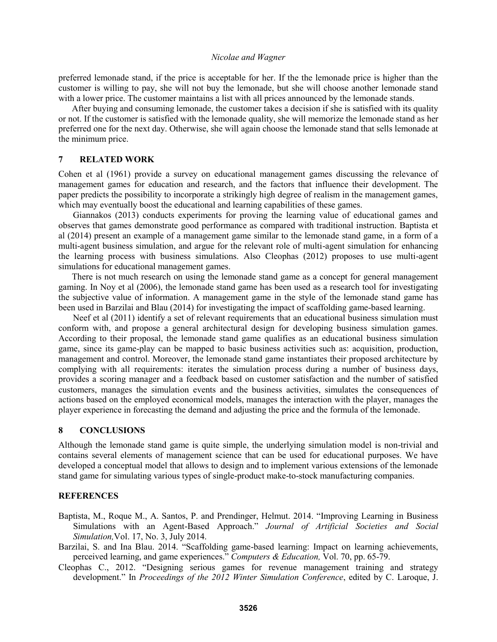preferred lemonade stand, if the price is acceptable for her. If the the lemonade price is higher than the customer is willing to pay, she will not buy the lemonade, but she will choose another lemonade stand with a lower price. The customer maintains a list with all prices announced by the lemonade stands.

After buying and consuming lemonade, the customer takes a decision if she is satisfied with its quality or not. If the customer is satisfied with the lemonade quality, she will memorize the lemonade stand as her preferred one for the next day. Otherwise, she will again choose the lemonade stand that sells lemonade at the minimum price.

#### **7 RELATED WORK**

Cohen et al (1961) provide a survey on educational management games discussing the relevance of management games for education and research, and the factors that influence their development. The paper predicts the possibility to incorporate a strikingly high degree of realism in the management games, which may eventually boost the educational and learning capabilities of these games.

Giannakos (2013) conducts experiments for proving the learning value of educational games and observes that games demonstrate good performance as compared with traditional instruction. Baptista et al (2014) present an example of a management game similar to the lemonade stand game, in a form of a multi-agent business simulation, and argue for the relevant role of multi-agent simulation for enhancing the learning process with business simulations. Also Cleophas (2012) proposes to use multi-agent simulations for educational management games.

There is not much research on using the lemonade stand game as a concept for general management gaming. In Noy et al (2006), the lemonade stand game has been used as a research tool for investigating the subjective value of information. A management game in the style of the lemonade stand game has been used in Barzilai and Blau (2014) for investigating the impact of scaffolding game-based learning.

Neef et al (2011) identify a set of relevant requirements that an educational business simulation must conform with, and propose a general architectural design for developing business simulation games. According to their proposal, the lemonade stand game qualifies as an educational business simulation game, since its game-play can be mapped to basic business activities such as: acquisition, production, management and control. Moreover, the lemonade stand game instantiates their proposed architecture by complying with all requirements: iterates the simulation process during a number of business days, provides a scoring manager and a feedback based on customer satisfaction and the number of satisfied customers, manages the simulation events and the business activities, simulates the consequences of actions based on the employed economical models, manages the interaction with the player, manages the player experience in forecasting the demand and adjusting the price and the formula of the lemonade.

#### **8 CONCLUSIONS**

Although the lemonade stand game is quite simple, the underlying simulation model is non-trivial and contains several elements of management science that can be used for educational purposes. We have developed a conceptual model that allows to design and to implement various extensions of the lemonade stand game for simulating various types of single-product make-to-stock manufacturing companies.

#### **REFERENCES**

- Baptista, M., Roque M., A. Santos, P. and Prendinger, Helmut. 2014. "Improving Learning in Business Simulations with an Agent-Based Approach." *Journal of Artificial Societies and Social Simulation,*Vol. 17, No. 3, July 2014.
- Barzilai, S. and Ina Blau. 2014. "Scaffolding game-based learning: Impact on learning achievements, perceived learning, and game experiences." *Computers & Education,* Vol. 70, pp. 65-79.
- Cleophas C., 2012. "Designing serious games for revenue management training and strategy development." In *Proceedings of the 2012 Winter Simulation Conference*, edited by C. Laroque, J.